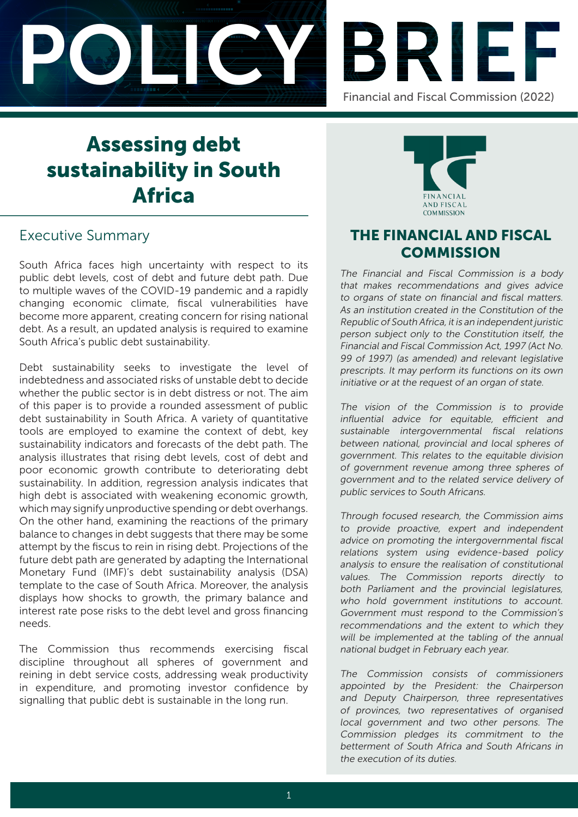



# Assessing debt sustainability in South Africa

# Executive Summary

South Africa faces high uncertainty with respect to its public debt levels, cost of debt and future debt path. Due to multiple waves of the COVID-19 pandemic and a rapidly changing economic climate, fiscal vulnerabilities have become more apparent, creating concern for rising national debt. As a result, an updated analysis is required to examine South Africa's public debt sustainability.

Debt sustainability seeks to investigate the level of indebtedness and associated risks of unstable debt to decide whether the public sector is in debt distress or not. The aim of this paper is to provide a rounded assessment of public debt sustainability in South Africa. A variety of quantitative tools are employed to examine the context of debt, key sustainability indicators and forecasts of the debt path. The analysis illustrates that rising debt levels, cost of debt and poor economic growth contribute to deteriorating debt sustainability. In addition, regression analysis indicates that high debt is associated with weakening economic growth, which may signify unproductive spending or debt overhangs. On the other hand, examining the reactions of the primary balance to changes in debt suggests that there may be some attempt by the fiscus to rein in rising debt. Projections of the future debt path are generated by adapting the International Monetary Fund (IMF)'s debt sustainability analysis (DSA) template to the case of South Africa. Moreover, the analysis displays how shocks to growth, the primary balance and interest rate pose risks to the debt level and gross financing needs.

The Commission thus recommends exercising fiscal discipline throughout all spheres of government and reining in debt service costs, addressing weak productivity in expenditure, and promoting investor confidence by signalling that public debt is sustainable in the long run.



## THE FINANCIAL AND FISCAL **COMMISSION**

The Financial and Fiscal Commission is a body that makes recommendations and gives advice to organs of state on financial and fiscal matters. As an institution created in the Constitution of the Republic of South Africa, it is an independent juristic person subject only to the Constitution itself, the Financial and Fiscal Commission Act, 1997 (Act No. 99 of 1997) (as amended) and relevant legislative prescripts. It may perform its functions on its own initiative or at the request of an organ of state.

The vision of the Commission is to provide influential advice for equitable, efficient and sustainable intergovernmental fiscal relations between national, provincial and local spheres of government. This relates to the equitable division of government revenue among three spheres of government and to the related service delivery of public services to South Africans.

Through focused research, the Commission aims to provide proactive, expert and independent advice on promoting the intergovernmental fiscal relations system using evidence-based policy analysis to ensure the realisation of constitutional values. The Commission reports directly to both Parliament and the provincial legislatures, who hold government institutions to account. Government must respond to the Commission's recommendations and the extent to which they will be implemented at the tabling of the annual national budget in February each year.

The Commission consists of commissioners appointed by the President: the Chairperson and Deputy Chairperson, three representatives of provinces, two representatives of organised local government and two other persons. The Commission pledges its commitment to the betterment of South Africa and South Africans in the execution of its duties.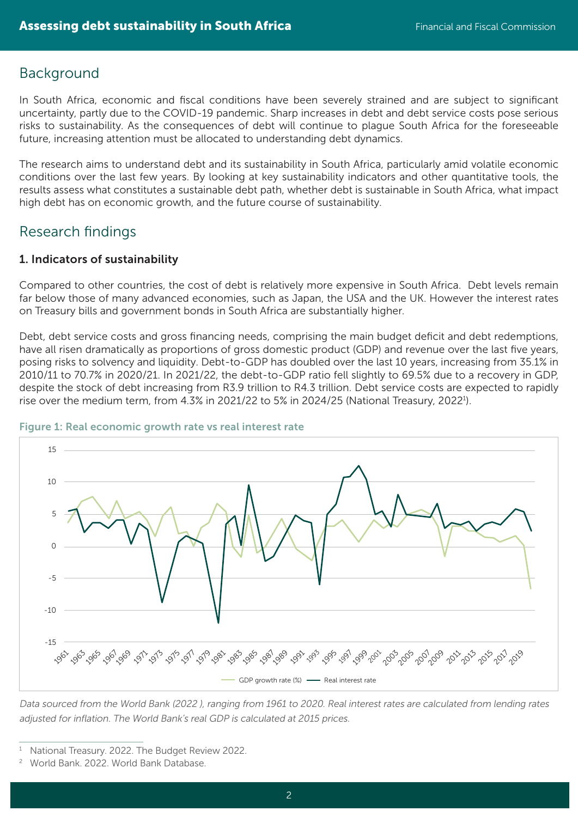### Background

In South Africa, economic and fiscal conditions have been severely strained and are subject to significant uncertainty, partly due to the COVID-19 pandemic. Sharp increases in debt and debt service costs pose serious risks to sustainability. As the consequences of debt will continue to plague South Africa for the foreseeable future, increasing attention must be allocated to understanding debt dynamics.

The research aims to understand debt and its sustainability in South Africa, particularly amid volatile economic conditions over the last few years. By looking at key sustainability indicators and other quantitative tools, the results assess what constitutes a sustainable debt path, whether debt is sustainable in South Africa, what impact high debt has on economic growth, and the future course of sustainability.

### Research findings

### 1. Indicators of sustainability

Compared to other countries, the cost of debt is relatively more expensive in South Africa. Debt levels remain far below those of many advanced economies, such as Japan, the USA and the UK. However the interest rates on Treasury bills and government bonds in South Africa are substantially higher.

Debt, debt service costs and gross financing needs, comprising the main budget deficit and debt redemptions, have all risen dramatically as proportions of gross domestic product (GDP) and revenue over the last five years, posing risks to solvency and liquidity. Debt-to-GDP has doubled over the last 10 years, increasing from 35.1% in 2010/11 to 70.7% in 2020/21. In 2021/22, the debt-to-GDP ratio fell slightly to 69.5% due to a recovery in GDP, despite the stock of debt increasing from R3.9 trillion to R4.3 trillion. Debt service costs are expected to rapidly rise over the medium term, from 4.3% in 2021/22 to 5% in 2024/25 (National Treasury, 2022<sup>1</sup>).



#### Figure 1: Real economic growth rate vs real interest rate

Data sourced from the World Bank (2022 ), ranging from 1961 to 2020. Real interest rates are calculated from lending rates adjusted for inflation. The World Bank's real GDP is calculated at 2015 prices.

<sup>1</sup> National Treasury. 2022. The Budget Review 2022.

<sup>2</sup> World Bank. 2022. World Bank Database.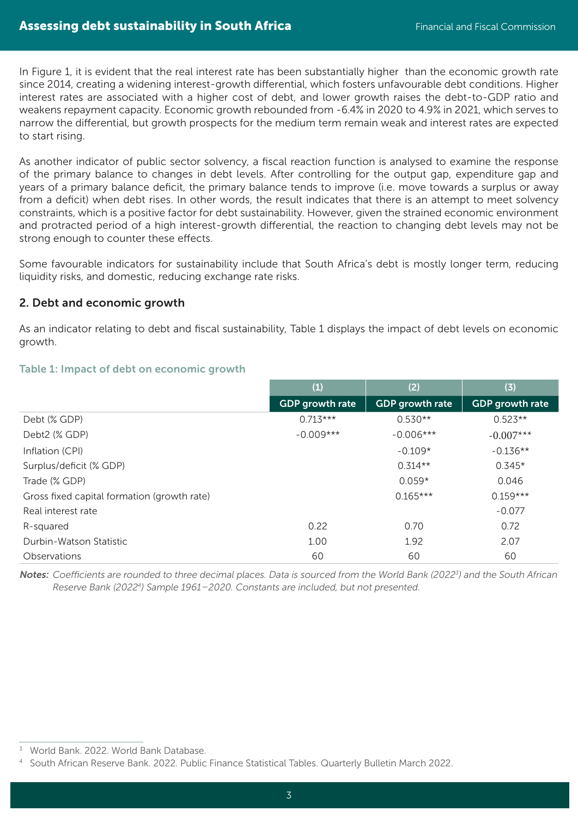In Figure 1, it is evident that the real interest rate has been substantially higher than the economic growth rate since 2014, creating a widening interest-growth differential, which fosters unfavourable debt conditions. Higher interest rates are associated with a higher cost of debt, and lower growth raises the debt-to-GDP ratio and weakens repayment capacity. Economic growth rebounded from -6.4% in 2020 to 4.9% in 2021, which serves to narrow the differential, but growth prospects for the medium term remain weak and interest rates are expected to start rising.

As another indicator of public sector solvency, a fiscal reaction function is analysed to examine the response of the primary balance to changes in debt levels. After controlling for the output gap, expenditure gap and years of a primary balance deficit, the primary balance tends to improve (i.e. move towards a surplus or away from a deficit) when debt rises. In other words, the result indicates that there is an attempt to meet solvency constraints, which is a positive factor for debt sustainability. However, given the strained economic environment and protracted period of a high interest-growth differential, the reaction to changing debt levels may not be strong enough to counter these effects.

Some favourable indicators for sustainability include that South Africa's debt is mostly longer term, reducing liquidity risks, and domestic, reducing exchange rate risks.

#### 2. Debt and economic growth

As an indicator relating to debt and fiscal sustainability, Table 1 displays the impact of debt levels on economic growth.

|                                             | (1)                    | (2)                    | (3)                    |
|---------------------------------------------|------------------------|------------------------|------------------------|
|                                             | <b>GDP</b> growth rate | <b>GDP</b> growth rate | <b>GDP</b> growth rate |
| Debt (% GDP)                                | $0.713***$             | $0.530**$              | $0.523**$              |
| Debt2 (% GDP)                               | $-0.009***$            | $-0.006***$            | $-0.007***$            |
| Inflation (CPI)                             |                        | $-0.109*$              | $-0.136**$             |
| Surplus/deficit (% GDP)                     |                        | $0.314**$              | $0.345*$               |
| Trade (% GDP)                               |                        | $0.059*$               | 0.046                  |
| Gross fixed capital formation (growth rate) |                        | $0.165***$             | $0.159***$             |
| Real interest rate                          |                        |                        | $-0.077$               |
| R-squared                                   | 0.22                   | 0.70                   | 0.72                   |
| Durbin-Watson Statistic                     | 1.00                   | 1.92                   | 2.07                   |
| Observations                                | 60                     | 60                     | 60                     |

#### Table 1: Impact of debt on economic growth

Notes: Coefficients are rounded to three decimal places. Data is sourced from the World Bank (2022<sup>3</sup>) and the South African Reserve Bank (2022<sup>4</sup>) Sample 1961–2020. Constants are included, but not presented.

<sup>3</sup> World Bank. 2022. World Bank Database.

<sup>4</sup> South African Reserve Bank. 2022. Public Finance Statistical Tables. Quarterly Bulletin March 2022.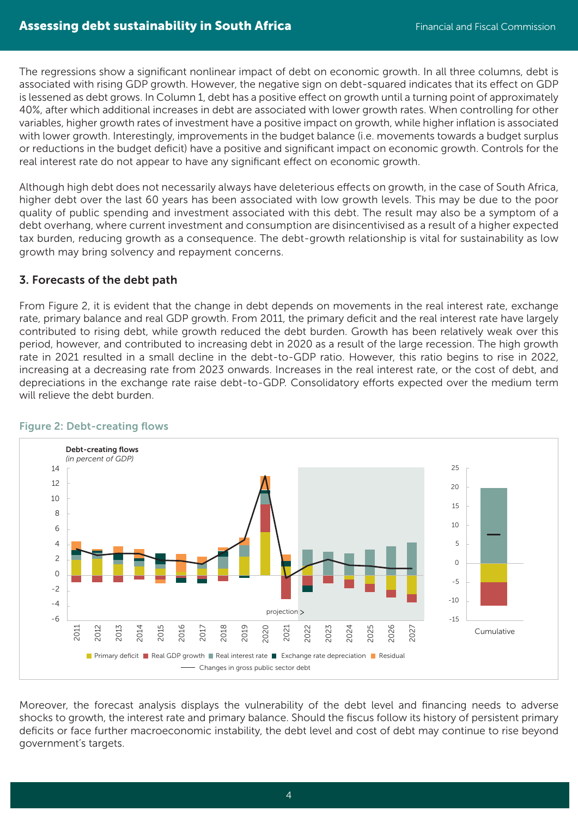The regressions show a significant nonlinear impact of debt on economic growth. In all three columns, debt is associated with rising GDP growth. However, the negative sign on debt-squared indicates that its effect on GDP is lessened as debt grows. In Column 1, debt has a positive effect on growth until a turning point of approximately 40%, after which additional increases in debt are associated with lower growth rates. When controlling for other variables, higher growth rates of investment have a positive impact on growth, while higher inflation is associated with lower growth. Interestingly, improvements in the budget balance (i.e. movements towards a budget surplus or reductions in the budget deficit) have a positive and significant impact on economic growth. Controls for the real interest rate do not appear to have any significant effect on economic growth.

Although high debt does not necessarily always have deleterious effects on growth, in the case of South Africa, higher debt over the last 60 years has been associated with low growth levels. This may be due to the poor quality of public spending and investment associated with this debt. The result may also be a symptom of a debt overhang, where current investment and consumption are disincentivised as a result of a higher expected tax burden, reducing growth as a consequence. The debt-growth relationship is vital for sustainability as low growth may bring solvency and repayment concerns.

### 3. Forecasts of the debt path

From Figure 2, it is evident that the change in debt depends on movements in the real interest rate, exchange rate, primary balance and real GDP growth. From 2011, the primary deficit and the real interest rate have largely contributed to rising debt, while growth reduced the debt burden. Growth has been relatively weak over this period, however, and contributed to increasing debt in 2020 as a result of the large recession. The high growth rate in 2021 resulted in a small decline in the debt-to-GDP ratio. However, this ratio begins to rise in 2022, increasing at a decreasing rate from 2023 onwards. Increases in the real interest rate, or the cost of debt, and depreciations in the exchange rate raise debt-to-GDP. Consolidatory efforts expected over the medium term will relieve the debt burden.



#### Figure 2: Debt-creating flows

Moreover, the forecast analysis displays the vulnerability of the debt level and financing needs to adverse shocks to growth, the interest rate and primary balance. Should the fiscus follow its history of persistent primary deficits or face further macroeconomic instability, the debt level and cost of debt may continue to rise beyond government's targets.